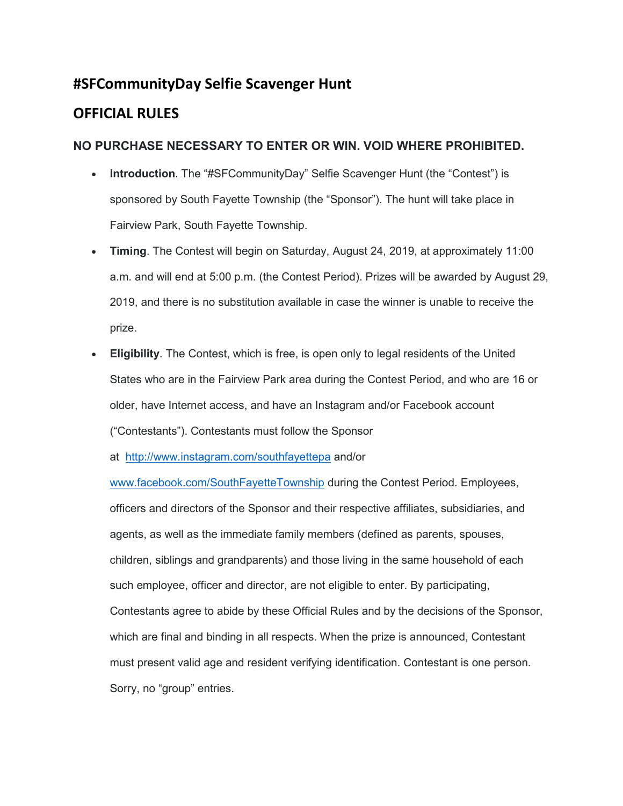## **#SFCommunityDay Selfie Scavenger Hunt**

## **OFFICIAL RULES**

## **NO PURCHASE NECESSARY TO ENTER OR WIN. VOID WHERE PROHIBITED.**

- **Introduction**. The "#SFCommunityDay" Selfie Scavenger Hunt (the "Contest") is sponsored by South Fayette Township (the "Sponsor"). The hunt will take place in Fairview Park, South Fayette Township.
- **Timing**. The Contest will begin on Saturday, August 24, 2019, at approximately 11:00 a.m. and will end at 5:00 p.m. (the Contest Period). Prizes will be awarded by August 29, 2019, and there is no substitution available in case the winner is unable to receive the prize.
- **Eligibility**. The Contest, which is free, is open only to legal residents of the United States who are in the Fairview Park area during the Contest Period, and who are 16 or older, have Internet access, and have an Instagram and/or Facebook account ("Contestants"). Contestants must follow the Sponsor

at <http://www.instagram.com/southfayettepa> and/or

[www.facebook.com/SouthFayetteTownship](http://www.facebook.com/SouthFayetteTownship) during the Contest Period. Employees, officers and directors of the Sponsor and their respective affiliates, subsidiaries, and agents, as well as the immediate family members (defined as parents, spouses, children, siblings and grandparents) and those living in the same household of each such employee, officer and director, are not eligible to enter. By participating, Contestants agree to abide by these Official Rules and by the decisions of the Sponsor, which are final and binding in all respects. When the prize is announced, Contestant must present valid age and resident verifying identification. Contestant is one person. Sorry, no "group" entries.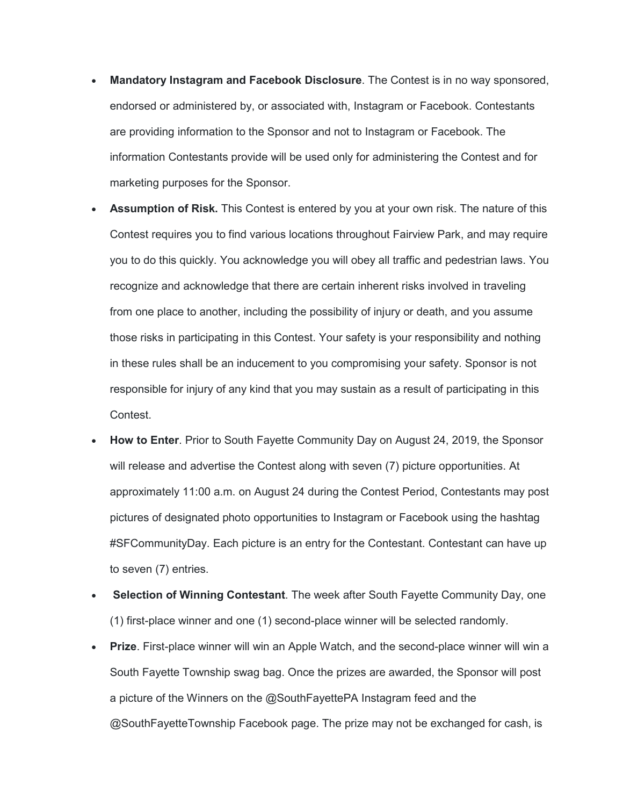- **Mandatory Instagram and Facebook Disclosure**. The Contest is in no way sponsored, endorsed or administered by, or associated with, Instagram or Facebook. Contestants are providing information to the Sponsor and not to Instagram or Facebook. The information Contestants provide will be used only for administering the Contest and for marketing purposes for the Sponsor.
- **Assumption of Risk.** This Contest is entered by you at your own risk. The nature of this Contest requires you to find various locations throughout Fairview Park, and may require you to do this quickly. You acknowledge you will obey all traffic and pedestrian laws. You recognize and acknowledge that there are certain inherent risks involved in traveling from one place to another, including the possibility of injury or death, and you assume those risks in participating in this Contest. Your safety is your responsibility and nothing in these rules shall be an inducement to you compromising your safety. Sponsor is not responsible for injury of any kind that you may sustain as a result of participating in this Contest.
- **How to Enter**. Prior to South Fayette Community Day on August 24, 2019, the Sponsor will release and advertise the Contest along with seven (7) picture opportunities. At approximately 11:00 a.m. on August 24 during the Contest Period, Contestants may post pictures of designated photo opportunities to Instagram or Facebook using the hashtag #SFCommunityDay. Each picture is an entry for the Contestant. Contestant can have up to seven (7) entries.
- **Selection of Winning Contestant**. The week after South Fayette Community Day, one (1) first-place winner and one (1) second-place winner will be selected randomly.
- **Prize**. First-place winner will win an Apple Watch, and the second-place winner will win a South Fayette Township swag bag. Once the prizes are awarded, the Sponsor will post a picture of the Winners on the @SouthFayettePA Instagram feed and the @SouthFayetteTownship Facebook page. The prize may not be exchanged for cash, is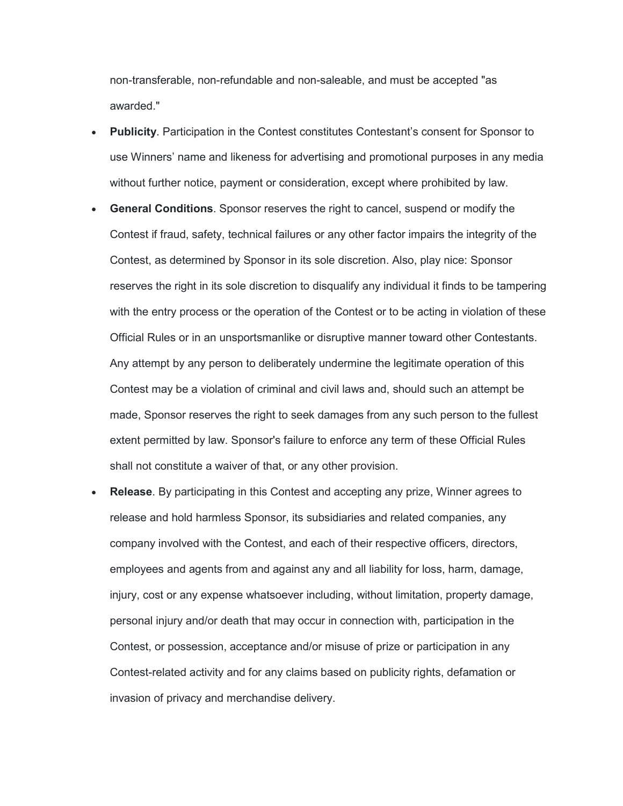non-transferable, non-refundable and non-saleable, and must be accepted "as awarded."

- **Publicity**. Participation in the Contest constitutes Contestant's consent for Sponsor to use Winners' name and likeness for advertising and promotional purposes in any media without further notice, payment or consideration, except where prohibited by law.
- **General Conditions**. Sponsor reserves the right to cancel, suspend or modify the Contest if fraud, safety, technical failures or any other factor impairs the integrity of the Contest, as determined by Sponsor in its sole discretion. Also, play nice: Sponsor reserves the right in its sole discretion to disqualify any individual it finds to be tampering with the entry process or the operation of the Contest or to be acting in violation of these Official Rules or in an unsportsmanlike or disruptive manner toward other Contestants. Any attempt by any person to deliberately undermine the legitimate operation of this Contest may be a violation of criminal and civil laws and, should such an attempt be made, Sponsor reserves the right to seek damages from any such person to the fullest extent permitted by law. Sponsor's failure to enforce any term of these Official Rules shall not constitute a waiver of that, or any other provision.
- **Release**. By participating in this Contest and accepting any prize, Winner agrees to release and hold harmless Sponsor, its subsidiaries and related companies, any company involved with the Contest, and each of their respective officers, directors, employees and agents from and against any and all liability for loss, harm, damage, injury, cost or any expense whatsoever including, without limitation, property damage, personal injury and/or death that may occur in connection with, participation in the Contest, or possession, acceptance and/or misuse of prize or participation in any Contest-related activity and for any claims based on publicity rights, defamation or invasion of privacy and merchandise delivery.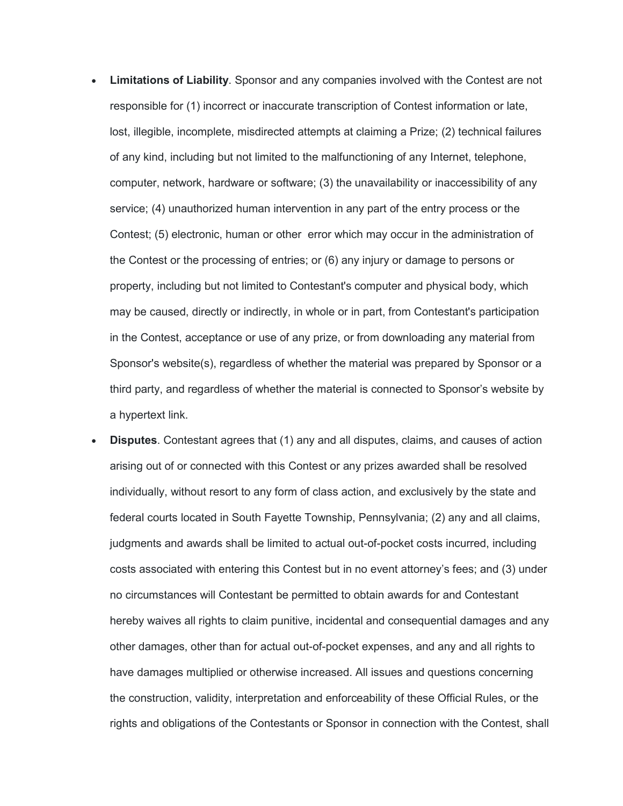- **Limitations of Liability**. Sponsor and any companies involved with the Contest are not responsible for (1) incorrect or inaccurate transcription of Contest information or late, lost, illegible, incomplete, misdirected attempts at claiming a Prize; (2) technical failures of any kind, including but not limited to the malfunctioning of any Internet, telephone, computer, network, hardware or software; (3) the unavailability or inaccessibility of any service; (4) unauthorized human intervention in any part of the entry process or the Contest; (5) electronic, human or other error which may occur in the administration of the Contest or the processing of entries; or (6) any injury or damage to persons or property, including but not limited to Contestant's computer and physical body, which may be caused, directly or indirectly, in whole or in part, from Contestant's participation in the Contest, acceptance or use of any prize, or from downloading any material from Sponsor's website(s), regardless of whether the material was prepared by Sponsor or a third party, and regardless of whether the material is connected to Sponsor's website by a hypertext link.
- **Disputes**. Contestant agrees that (1) any and all disputes, claims, and causes of action arising out of or connected with this Contest or any prizes awarded shall be resolved individually, without resort to any form of class action, and exclusively by the state and federal courts located in South Fayette Township, Pennsylvania; (2) any and all claims, judgments and awards shall be limited to actual out-of-pocket costs incurred, including costs associated with entering this Contest but in no event attorney's fees; and (3) under no circumstances will Contestant be permitted to obtain awards for and Contestant hereby waives all rights to claim punitive, incidental and consequential damages and any other damages, other than for actual out-of-pocket expenses, and any and all rights to have damages multiplied or otherwise increased. All issues and questions concerning the construction, validity, interpretation and enforceability of these Official Rules, or the rights and obligations of the Contestants or Sponsor in connection with the Contest, shall